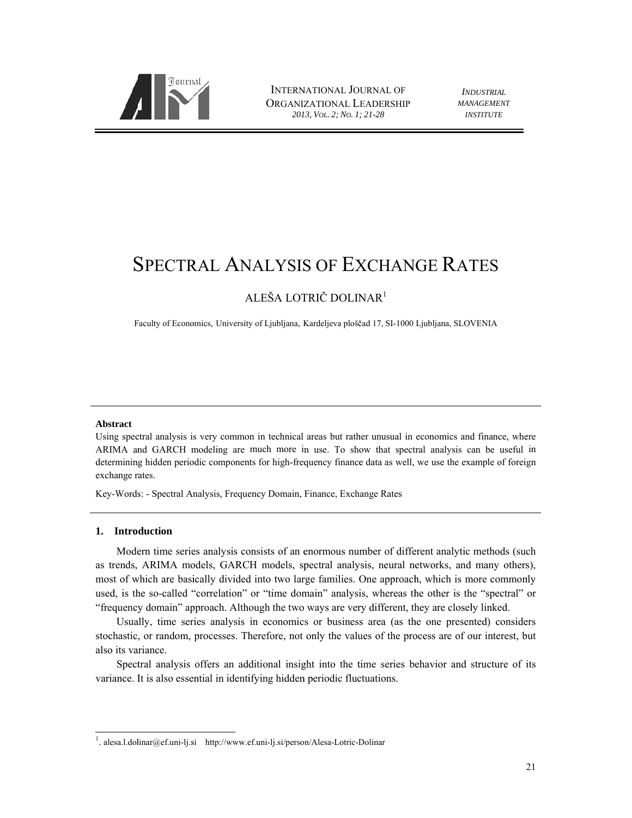

INTERNATIONAL JOURNAL OF ORGANIZATIONAL LEADERSHIP *201 13, VOL. 2; NO. 1; ; 21-28*

*INDUSTRIAL MAN NAGEMENT IN NSTITUTE*

# SPECTRAL ANALYSIS OF EXCHANGE RATES

# ALEŠA LOTRIČ DOLINAR<sup>1</sup>

Faculty of Economics, University of Ljubljana, Kardeljeva ploščad 17, SI-1000 Ljubljana, SLOVENIA

# **Abstract**

Using spectral analysis is very common in technical areas but rather unusual in economics and finance, where ARIMA and GARCH modeling are much more in use. To show that spectral analysis can be useful in determining hidden periodic components for high-frequency finance data as well, we use the example of foreign exchange rates.

Key-Words: - Spectral Analysis, Frequency Domain, Finance, Exchange Rates

# 1. Introduction

l

 $\overline{a}$ 

Modern time series analysis consists of an enormous number of different analytic methods (such as trends, ARIMA models, GARCH models, spectral analysis, neural networks, and many others), most of which are basically divided into two large families. One approach, which is more commonly used, is the so-called "correlation" or "time domain" analysis, whereas the other is the "spectral" or "frequency domain" approach. Although the two ways are very different, they are closely linked.

Usually, time series analysis in economics or business area (as the one presented) considers stochastic, or random, processes. Therefore, not only the values of the process are of our interest, but also its variance.

Spectral analysis offers an additional insight into the time series behavior and structure of its variance. It is also essential in identifying hidden periodic fluctuations.

l

<sup>&</sup>lt;sup>1</sup>. alesa.l.dolinar@ef.uni-lj.si http://www.ef.uni-lj.si/person/Alesa-Lotric-Dolinar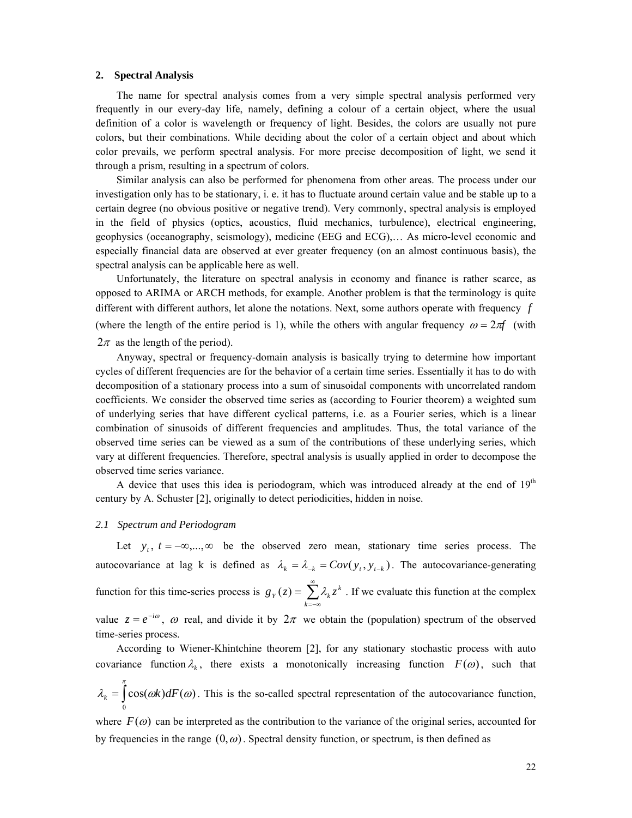#### **2. Spectral Analysis**

The name for spectral analysis comes from a very simple spectral analysis performed very frequently in our every-day life, namely, defining a colour of a certain object, where the usual definition of a color is wavelength or frequency of light. Besides, the colors are usually not pure colors, but their combinations. While deciding about the color of a certain object and about which color prevails, we perform spectral analysis. For more precise decomposition of light, we send it through a prism, resulting in a spectrum of colors.

Similar analysis can also be performed for phenomena from other areas. The process under our investigation only has to be stationary, i. e. it has to fluctuate around certain value and be stable up to a certain degree (no obvious positive or negative trend). Very commonly, spectral analysis is employed in the field of physics (optics, acoustics, fluid mechanics, turbulence), electrical engineering, geophysics (oceanography, seismology), medicine (EEG and ECG),… As micro-level economic and especially financial data are observed at ever greater frequency (on an almost continuous basis), the spectral analysis can be applicable here as well.

Unfortunately, the literature on spectral analysis in economy and finance is rather scarce, as opposed to ARIMA or ARCH methods, for example. Another problem is that the terminology is quite different with different authors, let alone the notations. Next, some authors operate with frequency *f* (where the length of the entire period is 1), while the others with angular frequency  $\omega = 2\pi f$  (with  $2\pi$  as the length of the period).

Anyway, spectral or frequency-domain analysis is basically trying to determine how important cycles of different frequencies are for the behavior of a certain time series. Essentially it has to do with decomposition of a stationary process into a sum of sinusoidal components with uncorrelated random coefficients. We consider the observed time series as (according to Fourier theorem) a weighted sum of underlying series that have different cyclical patterns, i.e. as a Fourier series, which is a linear combination of sinusoids of different frequencies and amplitudes. Thus, the total variance of the observed time series can be viewed as a sum of the contributions of these underlying series, which vary at different frequencies. Therefore, spectral analysis is usually applied in order to decompose the observed time series variance.

A device that uses this idea is periodogram, which was introduced already at the end of  $19<sup>th</sup>$ century by A. Schuster [2], originally to detect periodicities, hidden in noise.

#### *2.1 Spectrum and Periodogram*

Let  $y_i$ ,  $t = -\infty, \ldots, \infty$  be the observed zero mean, stationary time series process. The autocovariance at lag k is defined as  $\lambda_k = \lambda_{-k} = Cov(y_t, y_{t-k})$ . The autocovariance-generating function for this time-series process is  $g_Y(z) = \sum_{r=1}^{\infty}$  $=-\infty$  $=$ *k*  $g_Y(z) = \sum \lambda_k z^k$ . If we evaluate this function at the complex

value  $z = e^{-i\omega}$ ,  $\omega$  real, and divide it by  $2\pi$  we obtain the (population) spectrum of the observed time-series process.

According to Wiener-Khintchine theorem [2], for any stationary stochastic process with auto covariance function  $\lambda_k$ , there exists a monotonically increasing function  $F(\omega)$ , such that

$$
\lambda_k = \int_0^{\pi} \cos(\omega k) dF(\omega)
$$
. This is the so-called spectral representation of the autocovariance function,

where  $F(\omega)$  can be interpreted as the contribution to the variance of the original series, accounted for by frequencies in the range  $(0,\omega)$ . Spectral density function, or spectrum, is then defined as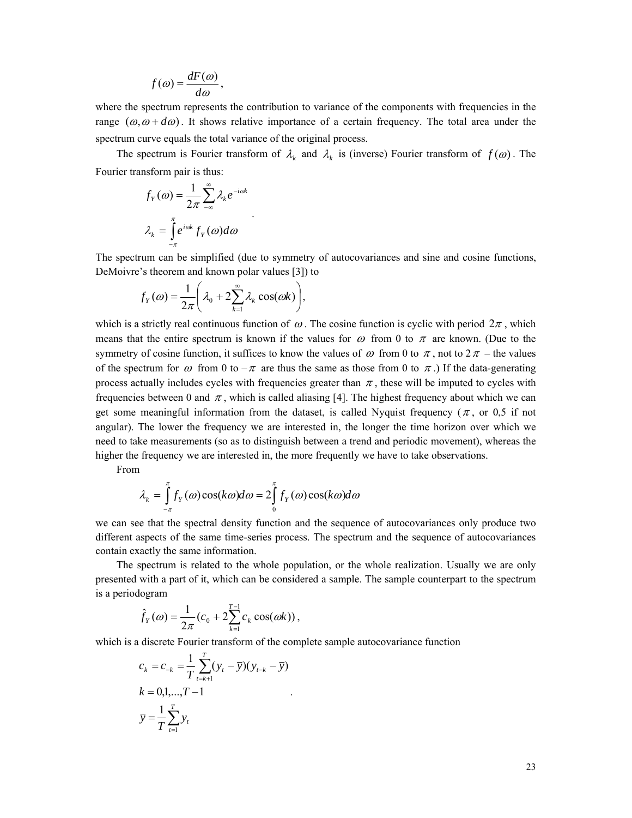$$
f(\omega) = \frac{dF(\omega)}{d\omega},
$$

where the spectrum represents the contribution to variance of the components with frequencies in the range  $(\omega, \omega + d\omega)$ . It shows relative importance of a certain frequency. The total area under the spectrum curve equals the total variance of the original process.

The spectrum is Fourier transform of  $\lambda_k$  and  $\lambda_k$  is (inverse) Fourier transform of  $f(\omega)$ . The Fourier transform pair is thus:

$$
f_Y(\omega) = \frac{1}{2\pi} \sum_{-\infty}^{\infty} \lambda_k e^{-i\omega k}
$$

$$
\lambda_k = \int_{-\pi}^{\pi} e^{i\omega k} f_Y(\omega) d\omega
$$

The spectrum can be simplified (due to symmetry of autocovariances and sine and cosine functions, DeMoivre's theorem and known polar values [3]) to

$$
f_Y(\omega) = \frac{1}{2\pi} \left( \lambda_0 + 2 \sum_{k=1}^{\infty} \lambda_k \cos(\omega k) \right),
$$

.

which is a strictly real continuous function of  $\omega$ . The cosine function is cyclic with period  $2\pi$ , which means that the entire spectrum is known if the values for  $\omega$  from 0 to  $\pi$  are known. (Due to the symmetry of cosine function, it suffices to know the values of  $\omega$  from 0 to  $\pi$ , not to  $2\pi$  – the values of the spectrum for  $\omega$  from 0 to  $-\pi$  are thus the same as those from 0 to  $\pi$ .) If the data-generating process actually includes cycles with frequencies greater than  $\pi$ , these will be imputed to cycles with frequencies between 0 and  $\pi$ , which is called aliasing [4]. The highest frequency about which we can get some meaningful information from the dataset, is called Nyquist frequency ( $\pi$ , or 0.5 if not angular). The lower the frequency we are interested in, the longer the time horizon over which we need to take measurements (so as to distinguish between a trend and periodic movement), whereas the higher the frequency we are interested in, the more frequently we have to take observations.

From

$$
\lambda_k = \int_{-\pi}^{\pi} f_Y(\omega) \cos(k\omega) d\omega = 2 \int_{0}^{\pi} f_Y(\omega) \cos(k\omega) d\omega
$$

we can see that the spectral density function and the sequence of autocovariances only produce two different aspects of the same time-series process. The spectrum and the sequence of autocovariances contain exactly the same information.

The spectrum is related to the whole population, or the whole realization. Usually we are only presented with a part of it, which can be considered a sample. The sample counterpart to the spectrum is a periodogram

$$
\hat{f}_Y(\omega) = \frac{1}{2\pi} (c_0 + 2 \sum_{k=1}^{T-1} c_k \cos(\omega k)),
$$

which is a discrete Fourier transform of the complete sample autocovariance function

.

$$
c_k = c_{-k} = \frac{1}{T} \sum_{t=k+1}^{T} (y_t - \overline{y})(y_{t-k} - \overline{y})
$$
  
\n
$$
k = 0, 1, ..., T - 1
$$
  
\n
$$
\overline{y} = \frac{1}{T} \sum_{t=1}^{T} y_t
$$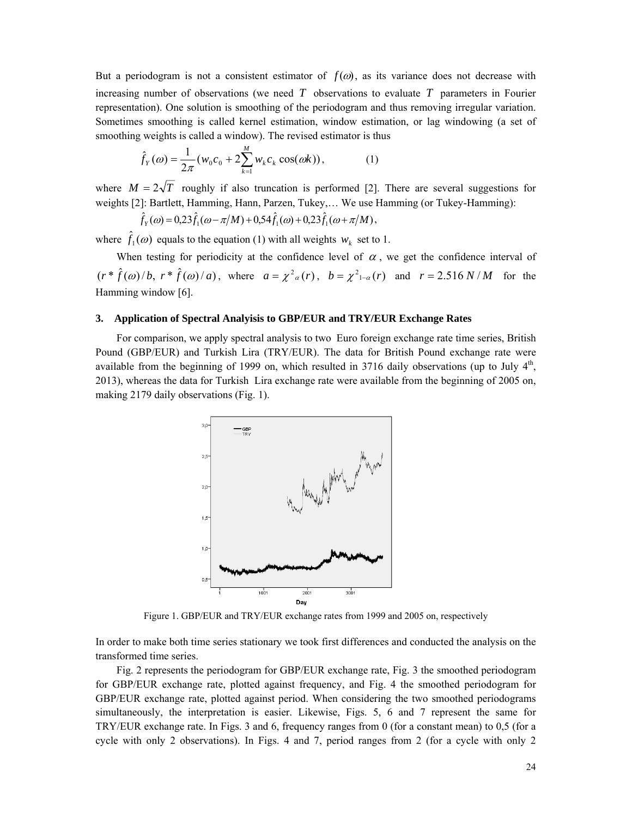But a periodogram is not a consistent estimator of  $f(\omega)$ , as its variance does not decrease with increasing number of observations (we need *T* observations to evaluate *T* parameters in Fourier representation). One solution is smoothing of the periodogram and thus removing irregular variation. Sometimes smoothing is called kernel estimation, window estimation, or lag windowing (a set of smoothing weights is called a window). The revised estimator is thus

$$
\hat{f}_Y(\omega) = \frac{1}{2\pi} (w_0 c_0 + 2 \sum_{k=1}^M w_k c_k \cos(\omega k)),
$$
\n(1)

where  $M = 2\sqrt{T}$  roughly if also truncation is performed [2]. There are several suggestions for weights [2]: Bartlett, Hamming, Hann, Parzen, Tukey,… We use Hamming (or Tukey-Hamming):

$$
\hat{f}_Y(\omega) = 0.23 \hat{f}_1(\omega - \pi/M) + 0.54 \hat{f}_1(\omega) + 0.23 \hat{f}_1(\omega + \pi/M),
$$

where  $\hat{f}_1(\omega)$  equals to the equation (1) with all weights  $w_k$  set to 1.

When testing for periodicity at the confidence level of  $\alpha$ , we get the confidence interval of  $(r * \hat{f}(\omega)/b, r * \hat{f}(\omega)/a)$ , where  $a = \chi^2_{\alpha}(r)$ ,  $b = \chi^2_{1-\alpha}(r)$  and  $r = 2.516 N/M$  for the Hamming window [6].

# **3. Application of Spectral Analyisis to GBP/EUR and TRY/EUR Exchange Rates**

For comparison, we apply spectral analysis to two Euro foreign exchange rate time series, British Pound (GBP/EUR) and Turkish Lira (TRY/EUR). The data for British Pound exchange rate were available from the beginning of 1999 on, which resulted in 3716 daily observations (up to July  $4<sup>th</sup>$ , 2013), whereas the data for Turkish Lira exchange rate were available from the beginning of 2005 on, making 2179 daily observations (Fig. 1).



Figure 1. GBP/EUR and TRY/EUR exchange rates from 1999 and 2005 on, respectively

In order to make both time series stationary we took first differences and conducted the analysis on the transformed time series.

Fig. 2 represents the periodogram for GBP/EUR exchange rate, Fig. 3 the smoothed periodogram for GBP/EUR exchange rate, plotted against frequency, and Fig. 4 the smoothed periodogram for GBP/EUR exchange rate, plotted against period. When considering the two smoothed periodograms simultaneously, the interpretation is easier. Likewise, Figs. 5, 6 and 7 represent the same for TRY/EUR exchange rate. In Figs. 3 and 6, frequency ranges from 0 (for a constant mean) to 0,5 (for a cycle with only 2 observations). In Figs. 4 and 7, period ranges from 2 (for a cycle with only 2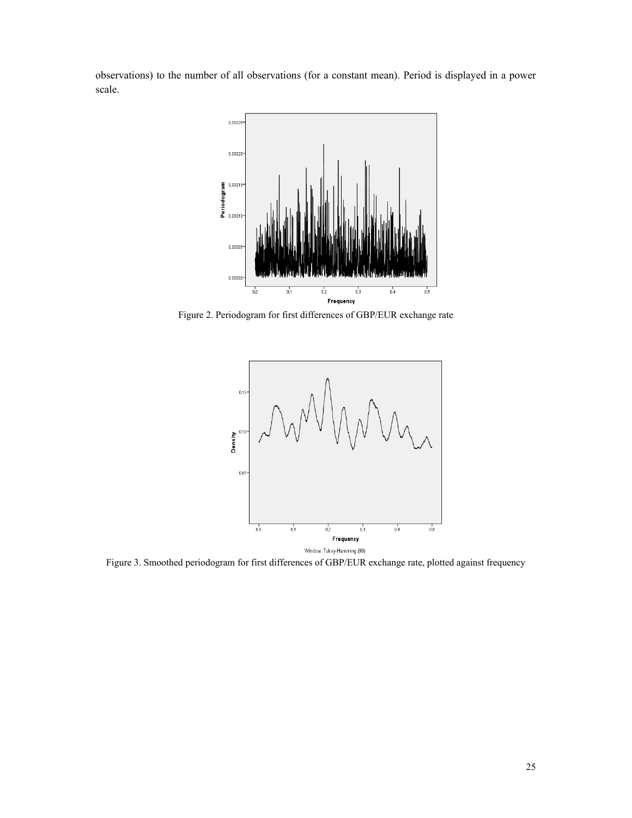observations) to the number of all observations (for a constant mean). Period is displayed in a power scale.



Figure 2. Periodogram for first differences of GBP/EUR exchange rate



Figure 3. Smoothed periodogram for first differences of GBP/EUR exchange rate, plotted against frequency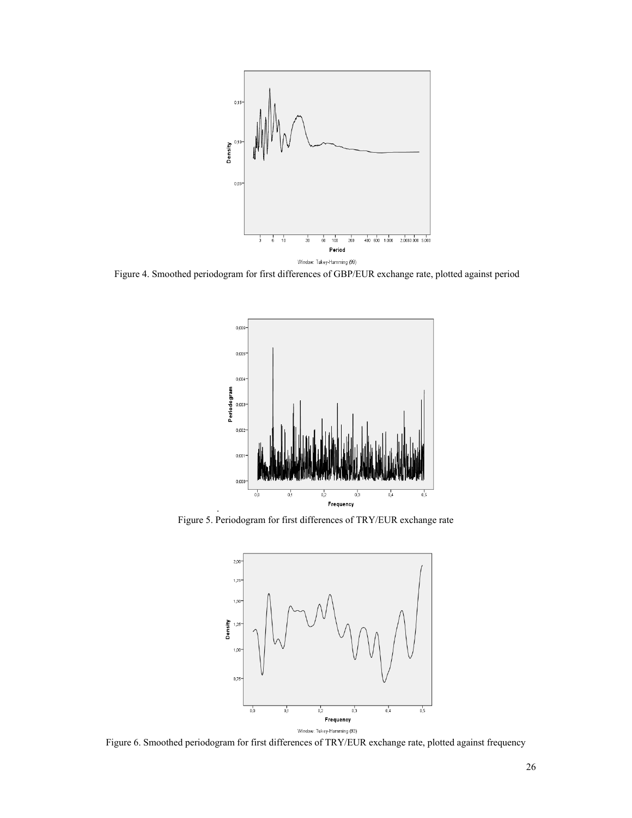

Figure 4. Smoothed periodogram for first differences of GBP/EUR exchange rate, plotted against period



Figure 5. Periodogram for first differences of TRY/EUR exchange rate

.



Figure 6. Smoothed periodogram for first differences of TRY/EUR exchange rate, plotted against frequency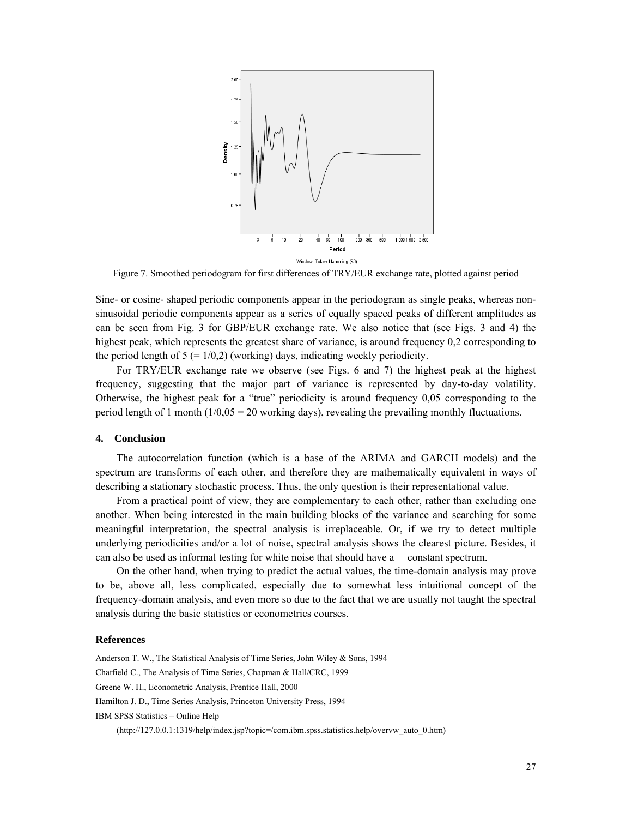

Figure 7. Smoothed periodogram for first differences of TRY/EUR exchange rate, plotted against period

Sine- or cosine- shaped periodic components appear in the periodogram as single peaks, whereas nonsinusoidal periodic components appear as a series of equally spaced peaks of different amplitudes as can be seen from Fig. 3 for GBP/EUR exchange rate. We also notice that (see Figs. 3 and 4) the highest peak, which represents the greatest share of variance, is around frequency 0,2 corresponding to the period length of  $5 (= 1/0,2)$  (working) days, indicating weekly periodicity.

For TRY/EUR exchange rate we observe (see Figs. 6 and 7) the highest peak at the highest frequency, suggesting that the major part of variance is represented by day-to-day volatility. Otherwise, the highest peak for a "true" periodicity is around frequency 0,05 corresponding to the period length of 1 month  $(1/0.05 = 20$  working days), revealing the prevailing monthly fluctuations.

# **4. Conclusion**

The autocorrelation function (which is a base of the ARIMA and GARCH models) and the spectrum are transforms of each other, and therefore they are mathematically equivalent in ways of describing a stationary stochastic process. Thus, the only question is their representational value.

From a practical point of view, they are complementary to each other, rather than excluding one another. When being interested in the main building blocks of the variance and searching for some meaningful interpretation, the spectral analysis is irreplaceable. Or, if we try to detect multiple underlying periodicities and/or a lot of noise, spectral analysis shows the clearest picture. Besides, it can also be used as informal testing for white noise that should have a constant spectrum.

On the other hand, when trying to predict the actual values, the time-domain analysis may prove to be, above all, less complicated, especially due to somewhat less intuitional concept of the frequency-domain analysis, and even more so due to the fact that we are usually not taught the spectral analysis during the basic statistics or econometrics courses.

# **References**

Anderson T. W., The Statistical Analysis of Time Series, John Wiley & Sons, 1994 Chatfield C., The Analysis of Time Series, Chapman & Hall/CRC, 1999 Greene W. H., Econometric Analysis, Prentice Hall, 2000 Hamilton J. D., Time Series Analysis, Princeton University Press, 1994 IBM SPSS Statistics – Online Help (http://127.0.0.1:1319/help/index.jsp?topic=/com.ibm.spss.statistics.help/overvw\_auto\_0.htm)